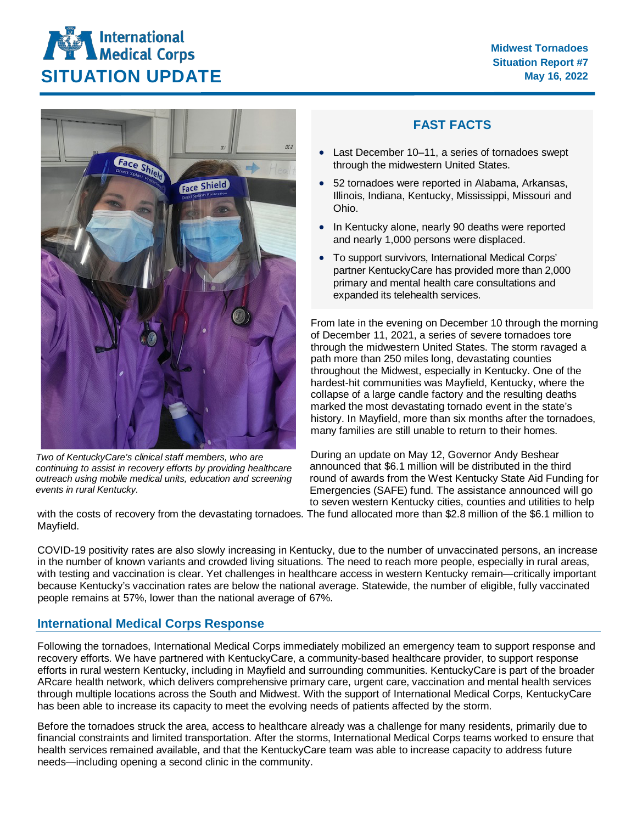





*Two of KentuckyCare's clinical staff members, who are continuing to assist in recovery efforts by providing healthcare outreach using mobile medical units, education and screening events in rural Kentucky.*

## **FAST FACTS**

- Last December 10–11, a series of tornadoes swept through the midwestern United States.
- 52 tornadoes were reported in Alabama, Arkansas, Illinois, Indiana, Kentucky, Mississippi, Missouri and Ohio.
- In Kentucky alone, nearly 90 deaths were reported and nearly 1,000 persons were displaced.
- To support survivors, International Medical Corps' partner KentuckyCare has provided more than 2,000 primary and mental health care consultations and expanded its telehealth services.

From late in the evening on December 10 through the morning of December 11, 2021, a series of severe tornadoes tore through the midwestern United States. The storm ravaged a path more than 250 miles long, devastating counties throughout the Midwest, especially in Kentucky. One of the hardest-hit communities was Mayfield, Kentucky, where the collapse of a large candle factory and the resulting deaths marked the most devastating tornado event in the state's history. In Mayfield, more than six months after the tornadoes, many families are still unable to return to their homes.

During an update on May 12, Governor Andy Beshear announced that \$6.1 million will be distributed in the third round of awards from the West Kentucky State Aid Funding for Emergencies (SAFE) fund. The assistance announced will go to seven western Kentucky cities, counties and utilities to help

with the costs of recovery from the devastating tornadoes. The fund allocated more than \$2.8 million of the \$6.1 million to Mayfield.

COVID-19 positivity rates are also slowly increasing in Kentucky, due to the number of unvaccinated persons, an increase in the number of known variants and crowded living situations. The need to reach more people, especially in rural areas, with testing and vaccination is clear. Yet challenges in healthcare access in western Kentucky remain—critically important because Kentucky's vaccination rates are below the national average. Statewide, the number of eligible, fully vaccinated people remains at 57%, lower than the national average of 67%.

## **International Medical Corps Response**

Following the tornadoes, International Medical Corps immediately mobilized an emergency team to support response and recovery efforts. We have partnered with KentuckyCare, a community-based healthcare provider, to support response efforts in rural western Kentucky, including in Mayfield and surrounding communities. KentuckyCare is part of the broader ARcare health network, which delivers comprehensive primary care, urgent care, vaccination and mental health services through multiple locations across the South and Midwest. With the support of International Medical Corps, KentuckyCare has been able to increase its capacity to meet the evolving needs of patients affected by the storm.

Before the tornadoes struck the area, access to healthcare already was a challenge for many residents, primarily due to financial constraints and limited transportation. After the storms, International Medical Corps teams worked to ensure that health services remained available, and that the KentuckyCare team was able to increase capacity to address future needs—including opening a second clinic in the community.